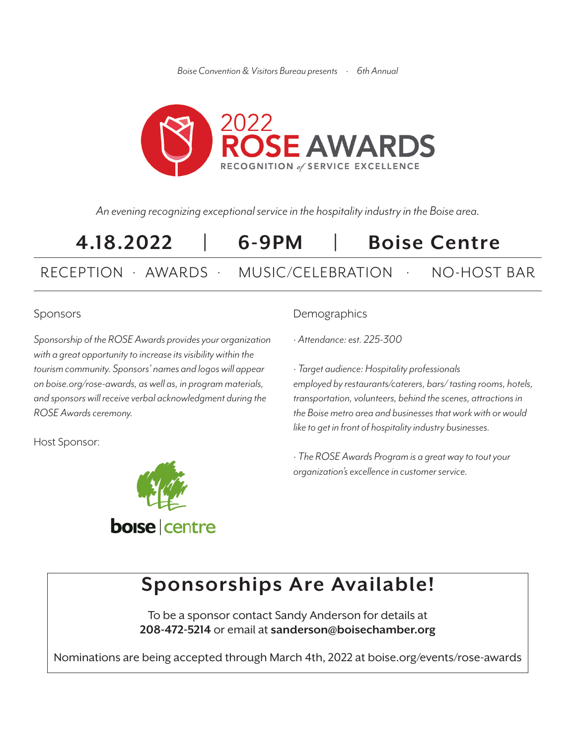*Boise Convention & Visitors Bureau presents · 6th Annual*



*An evening recognizing exceptional service in the hospitality industry in the Boise area.*

# **4.18.2022 | 6-9PM | Boise Centre** RECEPTION · AWARDS · MUSIC/CELEBRATION · NO-HOST BAR

#### Sponsors

*Sponsorship of the ROSE Awards provides your organization with a great opportunity to increase its visibility within the tourism community. Sponsors' names and logos will appear on boise.org/rose-awards, as well as, in program materials, and sponsors will receive verbal acknowledgment during the ROSE Awards ceremony.*

Host Sponsor:



### **Demographics**

*· Attendance: est. 225-300*

*· Target audience: Hospitality professionals employed by restaurants/caterers, bars/ tasting rooms, hotels, transportation, volunteers, behind the scenes, attractions in the Boise metro area and businesses that work with or would like to get in front of hospitality industry businesses.*

*· The ROSE Awards Program is a great way to tout your organization's excellence in customer service.*

## **Sponsorships Are Available!**

To be a sponsor contact Sandy Anderson for details at **208-472-5214** or email at **sanderson@boisechamber.org**

Nominations are being accepted through March 4th, 2022 at boise.org/events/rose-awards